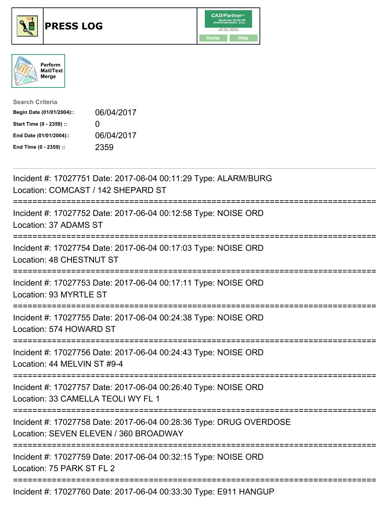





| <b>Search Criteria</b>    |                   |
|---------------------------|-------------------|
| Begin Date (01/01/2004):: | 06/04/2017        |
| Start Time (0 - 2359) ::  | $\mathbf{\Omega}$ |
| End Date (01/01/2004)::   | 06/04/2017        |
| End Time (0 - 2359) ::    | 2359              |

| Incident #: 17027751 Date: 2017-06-04 00:11:29 Type: ALARM/BURG<br>Location: COMCAST / 142 SHEPARD ST                                            |
|--------------------------------------------------------------------------------------------------------------------------------------------------|
| Incident #: 17027752 Date: 2017-06-04 00:12:58 Type: NOISE ORD<br>Location: 37 ADAMS ST<br>===============================                       |
| Incident #: 17027754 Date: 2017-06-04 00:17:03 Type: NOISE ORD<br>Location: 48 CHESTNUT ST<br>-----------------                                  |
| Incident #: 17027753 Date: 2017-06-04 00:17:11 Type: NOISE ORD<br>Location: 93 MYRTLE ST<br>-----------------------------------                  |
| Incident #: 17027755 Date: 2017-06-04 00:24:38 Type: NOISE ORD<br>Location: 574 HOWARD ST                                                        |
| Incident #: 17027756 Date: 2017-06-04 00:24:43 Type: NOISE ORD<br>Location: 44 MELVIN ST #9-4                                                    |
| Incident #: 17027757 Date: 2017-06-04 00:26:40 Type: NOISE ORD<br>Location: 33 CAMELLA TEOLI WY FL 1                                             |
| Incident #: 17027758 Date: 2017-06-04 00:28:36 Type: DRUG OVERDOSE<br>Location: SEVEN ELEVEN / 360 BROADWAY<br>================================= |
| Incident #: 17027759 Date: 2017-06-04 00:32:15 Type: NOISE ORD<br>Location: 75 PARK ST FL 2                                                      |
| Incident #: 17027760 Date: 2017-06-04 00:33:30 Type: E911 HANGUP                                                                                 |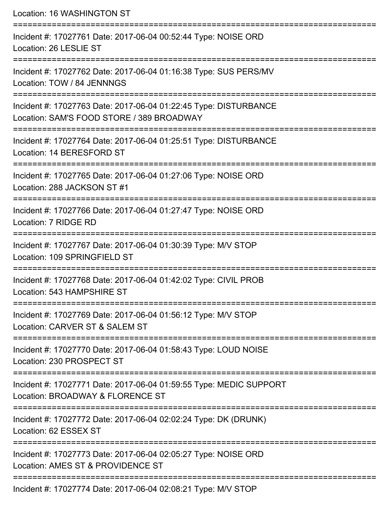Location: 16 WASHINGTON ST

| Incident #: 17027761 Date: 2017-06-04 00:52:44 Type: NOISE ORD<br>Location: 26 LESLIE ST                      |
|---------------------------------------------------------------------------------------------------------------|
| Incident #: 17027762 Date: 2017-06-04 01:16:38 Type: SUS PERS/MV<br>Location: TOW / 84 JENNNGS                |
| Incident #: 17027763 Date: 2017-06-04 01:22:45 Type: DISTURBANCE<br>Location: SAM'S FOOD STORE / 389 BROADWAY |
| Incident #: 17027764 Date: 2017-06-04 01:25:51 Type: DISTURBANCE<br>Location: 14 BERESFORD ST                 |
| Incident #: 17027765 Date: 2017-06-04 01:27:06 Type: NOISE ORD<br>Location: 288 JACKSON ST #1                 |
| Incident #: 17027766 Date: 2017-06-04 01:27:47 Type: NOISE ORD<br>Location: 7 RIDGE RD                        |
| Incident #: 17027767 Date: 2017-06-04 01:30:39 Type: M/V STOP<br>Location: 109 SPRINGFIELD ST                 |
| Incident #: 17027768 Date: 2017-06-04 01:42:02 Type: CIVIL PROB<br>Location: 543 HAMPSHIRE ST                 |
| Incident #: 17027769 Date: 2017-06-04 01:56:12 Type: M/V STOP<br>Location: CARVER ST & SALEM ST               |
| Incident #: 17027770 Date: 2017-06-04 01:58:43 Type: LOUD NOISE<br>Location: 230 PROSPECT ST                  |
| Incident #: 17027771 Date: 2017-06-04 01:59:55 Type: MEDIC SUPPORT<br>Location: BROADWAY & FLORENCE ST        |
| Incident #: 17027772 Date: 2017-06-04 02:02:24 Type: DK (DRUNK)<br>Location: 62 ESSEX ST                      |
| Incident #: 17027773 Date: 2017-06-04 02:05:27 Type: NOISE ORD<br>Location: AMES ST & PROVIDENCE ST           |
| Incident #: 17027774 Date: 2017-06-04 02:08:21 Type: M/V STOP                                                 |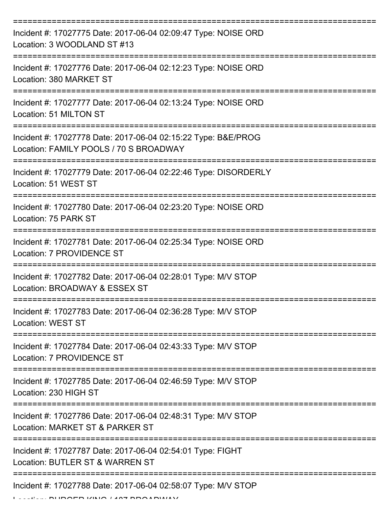| Incident #: 17027775 Date: 2017-06-04 02:09:47 Type: NOISE ORD<br>Location: 3 WOODLAND ST #13                                             |
|-------------------------------------------------------------------------------------------------------------------------------------------|
| Incident #: 17027776 Date: 2017-06-04 02:12:23 Type: NOISE ORD<br>Location: 380 MARKET ST                                                 |
| Incident #: 17027777 Date: 2017-06-04 02:13:24 Type: NOISE ORD<br>Location: 51 MILTON ST                                                  |
| Incident #: 17027778 Date: 2017-06-04 02:15:22 Type: B&E/PROG<br>Location: FAMILY POOLS / 70 S BROADWAY                                   |
| Incident #: 17027779 Date: 2017-06-04 02:22:46 Type: DISORDERLY<br>Location: 51 WEST ST                                                   |
| Incident #: 17027780 Date: 2017-06-04 02:23:20 Type: NOISE ORD<br>Location: 75 PARK ST                                                    |
| Incident #: 17027781 Date: 2017-06-04 02:25:34 Type: NOISE ORD<br><b>Location: 7 PROVIDENCE ST</b>                                        |
| Incident #: 17027782 Date: 2017-06-04 02:28:01 Type: M/V STOP<br>Location: BROADWAY & ESSEX ST                                            |
| Incident #: 17027783 Date: 2017-06-04 02:36:28 Type: M/V STOP<br><b>Location: WEST ST</b>                                                 |
| Incident #: 17027784 Date: 2017-06-04 02:43:33 Type: M/V STOP<br>Location: 7 PROVIDENCE ST                                                |
| Incident #: 17027785 Date: 2017-06-04 02:46:59 Type: M/V STOP<br>Location: 230 HIGH ST                                                    |
| _____________________________________<br>Incident #: 17027786 Date: 2017-06-04 02:48:31 Type: M/V STOP<br>Location: MARKET ST & PARKER ST |
| Incident #: 17027787 Date: 2017-06-04 02:54:01 Type: FIGHT<br>Location: BUTLER ST & WARREN ST                                             |
| Incident #: 17027788 Date: 2017-06-04 02:58:07 Type: M/V STOP                                                                             |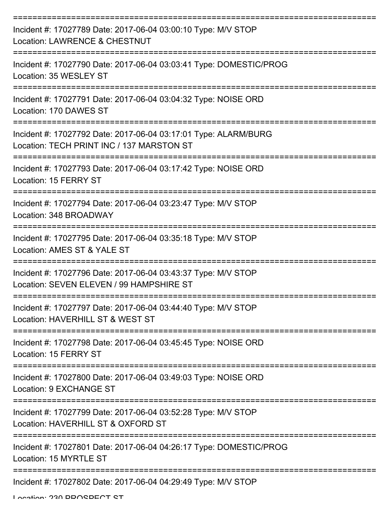| Incident #: 17027789 Date: 2017-06-04 03:00:10 Type: M/V STOP<br><b>Location: LAWRENCE &amp; CHESTNUT</b>    |
|--------------------------------------------------------------------------------------------------------------|
| Incident #: 17027790 Date: 2017-06-04 03:03:41 Type: DOMESTIC/PROG<br>Location: 35 WESLEY ST                 |
| Incident #: 17027791 Date: 2017-06-04 03:04:32 Type: NOISE ORD<br>Location: 170 DAWES ST                     |
| Incident #: 17027792 Date: 2017-06-04 03:17:01 Type: ALARM/BURG<br>Location: TECH PRINT INC / 137 MARSTON ST |
| Incident #: 17027793 Date: 2017-06-04 03:17:42 Type: NOISE ORD<br>Location: 15 FERRY ST                      |
| Incident #: 17027794 Date: 2017-06-04 03:23:47 Type: M/V STOP<br>Location: 348 BROADWAY                      |
| Incident #: 17027795 Date: 2017-06-04 03:35:18 Type: M/V STOP<br>Location: AMES ST & YALE ST                 |
| Incident #: 17027796 Date: 2017-06-04 03:43:37 Type: M/V STOP<br>Location: SEVEN ELEVEN / 99 HAMPSHIRE ST    |
| Incident #: 17027797 Date: 2017-06-04 03:44:40 Type: M/V STOP<br>Location: HAVERHILL ST & WEST ST            |
| Incident #: 17027798 Date: 2017-06-04 03:45:45 Type: NOISE ORD<br>Location: 15 FERRY ST                      |
| Incident #: 17027800 Date: 2017-06-04 03:49:03 Type: NOISE ORD<br>Location: 9 EXCHANGE ST                    |
| Incident #: 17027799 Date: 2017-06-04 03:52:28 Type: M/V STOP<br>Location: HAVERHILL ST & OXFORD ST          |
| Incident #: 17027801 Date: 2017-06-04 04:26:17 Type: DOMESTIC/PROG<br>Location: 15 MYRTLE ST                 |
| Incident #: 17027802 Date: 2017-06-04 04:29:49 Type: M/V STOP                                                |

Location: 220 DDACDECT CT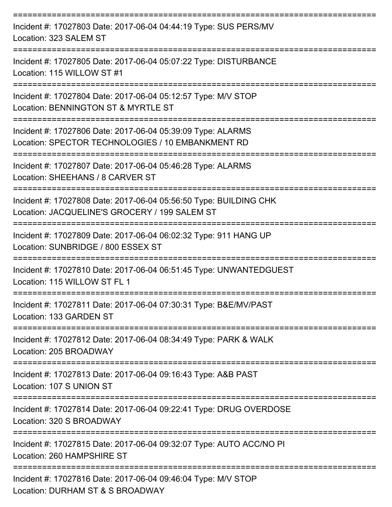| Incident #: 17027803 Date: 2017-06-04 04:44:19 Type: SUS PERS/MV<br>Location: 323 SALEM ST<br>:============================= |
|------------------------------------------------------------------------------------------------------------------------------|
| Incident #: 17027805 Date: 2017-06-04 05:07:22 Type: DISTURBANCE<br>Location: 115 WILLOW ST #1                               |
| Incident #: 17027804 Date: 2017-06-04 05:12:57 Type: M/V STOP<br>Location: BENNINGTON ST & MYRTLE ST                         |
| Incident #: 17027806 Date: 2017-06-04 05:39:09 Type: ALARMS<br>Location: SPECTOR TECHNOLOGIES / 10 EMBANKMENT RD             |
| Incident #: 17027807 Date: 2017-06-04 05:46:28 Type: ALARMS<br>Location: SHEEHANS / 8 CARVER ST                              |
| Incident #: 17027808 Date: 2017-06-04 05:56:50 Type: BUILDING CHK<br>Location: JACQUELINE'S GROCERY / 199 SALEM ST           |
| Incident #: 17027809 Date: 2017-06-04 06:02:32 Type: 911 HANG UP<br>Location: SUNBRIDGE / 800 ESSEX ST                       |
| Incident #: 17027810 Date: 2017-06-04 06:51:45 Type: UNWANTEDGUEST<br>Location: 115 WILLOW ST FL 1                           |
| Incident #: 17027811 Date: 2017-06-04 07:30:31 Type: B&E/MV/PAST<br>Location: 133 GARDEN ST                                  |
| Incident #: 17027812 Date: 2017-06-04 08:34:49 Type: PARK & WALK<br>Location: 205 BROADWAY                                   |
| Incident #: 17027813 Date: 2017-06-04 09:16:43 Type: A&B PAST<br>Location: 107 S UNION ST                                    |
| Incident #: 17027814 Date: 2017-06-04 09:22:41 Type: DRUG OVERDOSE<br>Location: 320 S BROADWAY                               |
| Incident #: 17027815 Date: 2017-06-04 09:32:07 Type: AUTO ACC/NO PI<br>Location: 260 HAMPSHIRE ST                            |
| Incident #: 17027816 Date: 2017-06-04 09:46:04 Type: M/V STOP<br>Location: DURHAM ST & S BROADWAY                            |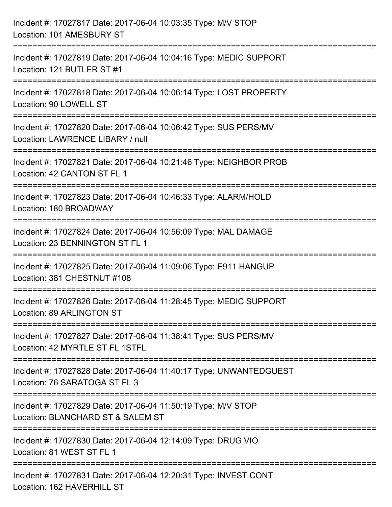| Incident #: 17027817 Date: 2017-06-04 10:03:35 Type: M/V STOP<br>Location: 101 AMESBURY ST                                           |
|--------------------------------------------------------------------------------------------------------------------------------------|
| ;===============================<br>Incident #: 17027819 Date: 2017-06-04 10:04:16 Type: MEDIC SUPPORT<br>Location: 121 BUTLER ST #1 |
| Incident #: 17027818 Date: 2017-06-04 10:06:14 Type: LOST PROPERTY<br>Location: 90 LOWELL ST                                         |
| Incident #: 17027820 Date: 2017-06-04 10:06:42 Type: SUS PERS/MV<br>Location: LAWRENCE LIBARY / null                                 |
| Incident #: 17027821 Date: 2017-06-04 10:21:46 Type: NEIGHBOR PROB<br>Location: 42 CANTON ST FL 1                                    |
| Incident #: 17027823 Date: 2017-06-04 10:46:33 Type: ALARM/HOLD<br>Location: 180 BROADWAY                                            |
| Incident #: 17027824 Date: 2017-06-04 10:56:09 Type: MAL DAMAGE<br>Location: 23 BENNINGTON ST FL 1                                   |
| Incident #: 17027825 Date: 2017-06-04 11:09:06 Type: E911 HANGUP<br>Location: 381 CHESTNUT #108                                      |
| Incident #: 17027826 Date: 2017-06-04 11:28:45 Type: MEDIC SUPPORT<br>Location: 89 ARLINGTON ST                                      |
| Incident #: 17027827 Date: 2017-06-04 11:38:41 Type: SUS PERS/MV<br>Location: 42 MYRTLE ST FL 1STFL                                  |
| Incident #: 17027828 Date: 2017-06-04 11:40:17 Type: UNWANTEDGUEST<br>Location: 76 SARATOGA ST FL 3                                  |
| Incident #: 17027829 Date: 2017-06-04 11:50:19 Type: M/V STOP<br>Location: BLANCHARD ST & SALEM ST                                   |
| Incident #: 17027830 Date: 2017-06-04 12:14:09 Type: DRUG VIO<br>Location: 81 WEST ST FL 1                                           |
| Incident #: 17027831 Date: 2017-06-04 12:20:31 Type: INVEST CONT<br>Location: 162 HAVERHILL ST                                       |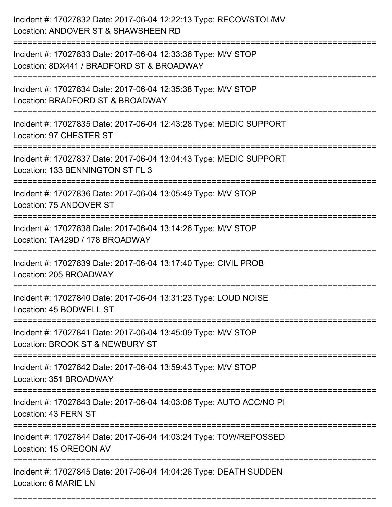| Incident #: 17027832 Date: 2017-06-04 12:22:13 Type: RECOV/STOL/MV<br>Location: ANDOVER ST & SHAWSHEEN RD<br>==================== |
|-----------------------------------------------------------------------------------------------------------------------------------|
| Incident #: 17027833 Date: 2017-06-04 12:33:36 Type: M/V STOP<br>Location: 8DX441 / BRADFORD ST & BROADWAY                        |
| Incident #: 17027834 Date: 2017-06-04 12:35:38 Type: M/V STOP<br>Location: BRADFORD ST & BROADWAY<br>:=====================       |
| Incident #: 17027835 Date: 2017-06-04 12:43:28 Type: MEDIC SUPPORT<br>Location: 97 CHESTER ST                                     |
| Incident #: 17027837 Date: 2017-06-04 13:04:43 Type: MEDIC SUPPORT<br>Location: 133 BENNINGTON ST FL 3                            |
| Incident #: 17027836 Date: 2017-06-04 13:05:49 Type: M/V STOP<br>Location: 75 ANDOVER ST                                          |
| Incident #: 17027838 Date: 2017-06-04 13:14:26 Type: M/V STOP<br>Location: TA429D / 178 BROADWAY                                  |
| Incident #: 17027839 Date: 2017-06-04 13:17:40 Type: CIVIL PROB<br>Location: 205 BROADWAY                                         |
| Incident #: 17027840 Date: 2017-06-04 13:31:23 Type: LOUD NOISE<br>Location: 45 BODWELL ST                                        |
| Incident #: 17027841 Date: 2017-06-04 13:45:09 Type: M/V STOP<br>Location: BROOK ST & NEWBURY ST                                  |
| Incident #: 17027842 Date: 2017-06-04 13:59:43 Type: M/V STOP<br>Location: 351 BROADWAY                                           |
| Incident #: 17027843 Date: 2017-06-04 14:03:06 Type: AUTO ACC/NO PI<br>Location: 43 FERN ST                                       |
| Incident #: 17027844 Date: 2017-06-04 14:03:24 Type: TOW/REPOSSED<br>Location: 15 OREGON AV                                       |
| Incident #: 17027845 Date: 2017-06-04 14:04:26 Type: DEATH SUDDEN<br>Location: 6 MARIE LN                                         |

===========================================================================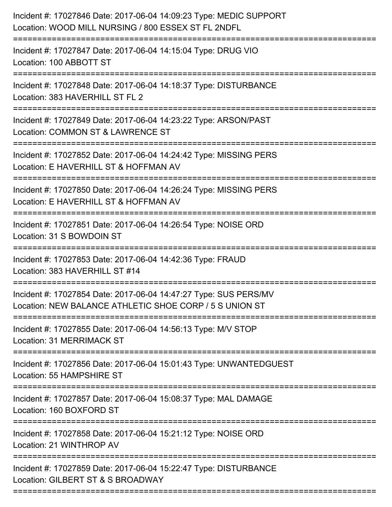| Incident #: 17027846 Date: 2017-06-04 14:09:23 Type: MEDIC SUPPORT<br>Location: WOOD MILL NURSING / 800 ESSEX ST FL 2NDFL<br>================================== |
|-----------------------------------------------------------------------------------------------------------------------------------------------------------------|
| Incident #: 17027847 Date: 2017-06-04 14:15:04 Type: DRUG VIO<br>Location: 100 ABBOTT ST                                                                        |
| Incident #: 17027848 Date: 2017-06-04 14:18:37 Type: DISTURBANCE<br>Location: 383 HAVERHILL ST FL 2                                                             |
| Incident #: 17027849 Date: 2017-06-04 14:23:22 Type: ARSON/PAST<br>Location: COMMON ST & LAWRENCE ST                                                            |
| Incident #: 17027852 Date: 2017-06-04 14:24:42 Type: MISSING PERS<br>Location: E HAVERHILL ST & HOFFMAN AV<br>=================================                 |
| Incident #: 17027850 Date: 2017-06-04 14:26:24 Type: MISSING PERS<br>Location: E HAVERHILL ST & HOFFMAN AV                                                      |
| Incident #: 17027851 Date: 2017-06-04 14:26:54 Type: NOISE ORD<br>Location: 31 S BOWDOIN ST                                                                     |
| Incident #: 17027853 Date: 2017-06-04 14:42:36 Type: FRAUD<br>Location: 383 HAVERHILL ST #14                                                                    |
| Incident #: 17027854 Date: 2017-06-04 14:47:27 Type: SUS PERS/MV<br>Location: NEW BALANCE ATHLETIC SHOE CORP / 5 S UNION ST<br>==========================       |
| Incident #: 17027855 Date: 2017-06-04 14:56:13 Type: M/V STOP<br>Location: 31 MERRIMACK ST                                                                      |
| Incident #: 17027856 Date: 2017-06-04 15:01:43 Type: UNWANTEDGUEST<br>Location: 55 HAMPSHIRE ST                                                                 |
| Incident #: 17027857 Date: 2017-06-04 15:08:37 Type: MAL DAMAGE<br>Location: 160 BOXFORD ST                                                                     |
| Incident #: 17027858 Date: 2017-06-04 15:21:12 Type: NOISE ORD<br>Location: 21 WINTHROP AV                                                                      |
| Incident #: 17027859 Date: 2017-06-04 15:22:47 Type: DISTURBANCE<br>Location: GILBERT ST & S BROADWAY                                                           |
|                                                                                                                                                                 |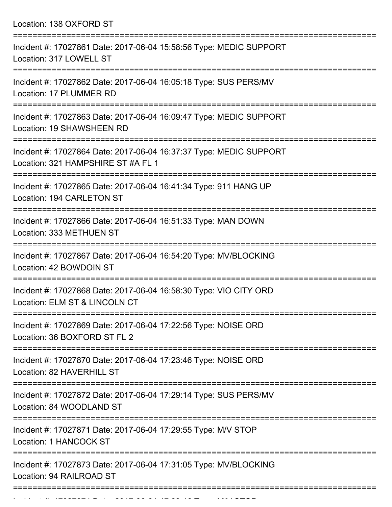Location: 138 OXFORD ST =========================================================================== Incident #: 17027861 Date: 2017-06-04 15:58:56 Type: MEDIC SUPPORT Location: 317 LOWELL ST =========================================================================== Incident #: 17027862 Date: 2017-06-04 16:05:18 Type: SUS PERS/MV Location: 17 PLUMMER RD =========================================================================== Incident #: 17027863 Date: 2017-06-04 16:09:47 Type: MEDIC SUPPORT Location: 19 SHAWSHEEN RD =========================================================================== Incident #: 17027864 Date: 2017-06-04 16:37:37 Type: MEDIC SUPPORT Location: 321 HAMPSHIRE ST #A FL 1 =========================================================================== Incident #: 17027865 Date: 2017-06-04 16:41:34 Type: 911 HANG UP Location: 194 CARLETON ST =========================================================================== Incident #: 17027866 Date: 2017-06-04 16:51:33 Type: MAN DOWN Location: 333 METHUEN ST =========================================================================== Incident #: 17027867 Date: 2017-06-04 16:54:20 Type: MV/BLOCKING Location: 42 BOWDOIN ST =========================================================================== Incident #: 17027868 Date: 2017-06-04 16:58:30 Type: VIO CITY ORD Location: ELM ST & LINCOLN CT =========================================================================== Incident #: 17027869 Date: 2017-06-04 17:22:56 Type: NOISE ORD Location: 36 BOXFORD ST FL 2 =========================================================================== Incident #: 17027870 Date: 2017-06-04 17:23:46 Type: NOISE ORD Location: 82 HAVERHILL ST =========================================================================== Incident #: 17027872 Date: 2017-06-04 17:29:14 Type: SUS PERS/MV Location: 84 WOODLAND ST =========================================================================== Incident #: 17027871 Date: 2017-06-04 17:29:55 Type: M/V STOP Location: 1 HANCOCK ST =========================================================================== Incident #: 17027873 Date: 2017-06-04 17:31:05 Type: MV/BLOCKING Location: 94 RAILROAD ST ===========================================================================

Incident #: 17027874 Date: 2017 06 04 17:33:46 Type: M/V STOP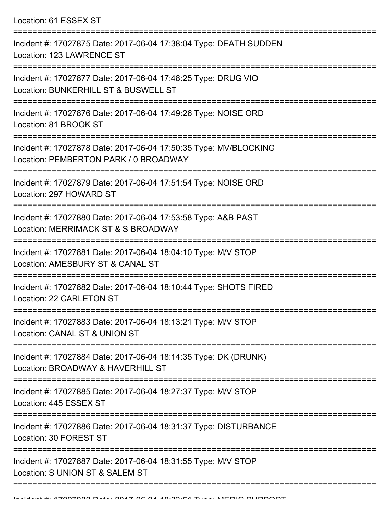Location: 61 ESSEX ST

| Incident #: 17027875 Date: 2017-06-04 17:38:04 Type: DEATH SUDDEN<br>Location: 123 LAWRENCE ST                     |
|--------------------------------------------------------------------------------------------------------------------|
| Incident #: 17027877 Date: 2017-06-04 17:48:25 Type: DRUG VIO<br>Location: BUNKERHILL ST & BUSWELL ST              |
| Incident #: 17027876 Date: 2017-06-04 17:49:26 Type: NOISE ORD<br>Location: 81 BROOK ST                            |
| Incident #: 17027878 Date: 2017-06-04 17:50:35 Type: MV/BLOCKING<br>Location: PEMBERTON PARK / 0 BROADWAY          |
| Incident #: 17027879 Date: 2017-06-04 17:51:54 Type: NOISE ORD<br>Location: 297 HOWARD ST                          |
| Incident #: 17027880 Date: 2017-06-04 17:53:58 Type: A&B PAST<br>Location: MERRIMACK ST & S BROADWAY               |
| Incident #: 17027881 Date: 2017-06-04 18:04:10 Type: M/V STOP<br>Location: AMESBURY ST & CANAL ST                  |
| Incident #: 17027882 Date: 2017-06-04 18:10:44 Type: SHOTS FIRED<br>Location: 22 CARLETON ST                       |
| Incident #: 17027883 Date: 2017-06-04 18:13:21 Type: M/V STOP<br>Location: CANAL ST & UNION ST                     |
| Incident #: 17027884 Date: 2017-06-04 18:14:35 Type: DK (DRUNK)<br>Location: BROADWAY & HAVERHILL ST               |
| Incident #: 17027885 Date: 2017-06-04 18:27:37 Type: M/V STOP<br>Location: 445 ESSEX ST                            |
| :===================<br>Incident #: 17027886 Date: 2017-06-04 18:31:37 Type: DISTURBANCE<br>Location: 30 FOREST ST |
| Incident #: 17027887 Date: 2017-06-04 18:31:55 Type: M/V STOP<br>Location: S UNION ST & SALEM ST                   |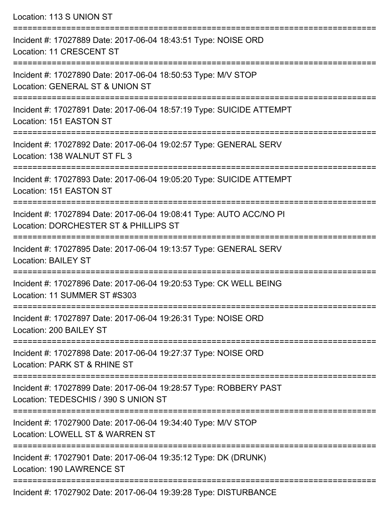Location: 113 S UNION ST =========================================================================== Incident #: 17027889 Date: 2017-06-04 18:43:51 Type: NOISE ORD Location: 11 CRESCENT ST =========================================================================== Incident #: 17027890 Date: 2017-06-04 18:50:53 Type: M/V STOP Location: GENERAL ST & UNION ST =========================================================================== Incident #: 17027891 Date: 2017-06-04 18:57:19 Type: SUICIDE ATTEMPT Location: 151 EASTON ST =========================================================================== Incident #: 17027892 Date: 2017-06-04 19:02:57 Type: GENERAL SERV Location: 138 WALNUT ST FL 3 =========================================================================== Incident #: 17027893 Date: 2017-06-04 19:05:20 Type: SUICIDE ATTEMPT Location: 151 EASTON ST =========================================================================== Incident #: 17027894 Date: 2017-06-04 19:08:41 Type: AUTO ACC/NO PI Location: DORCHESTER ST & PHILLIPS ST =========================================================================== Incident #: 17027895 Date: 2017-06-04 19:13:57 Type: GENERAL SERV Location: BAILEY ST =========================================================================== Incident #: 17027896 Date: 2017-06-04 19:20:53 Type: CK WELL BEING Location: 11 SUMMER ST #S303 =========================================================================== Incident #: 17027897 Date: 2017-06-04 19:26:31 Type: NOISE ORD Location: 200 BAILEY ST =========================================================================== Incident #: 17027898 Date: 2017-06-04 19:27:37 Type: NOISE ORD Location: PARK ST & RHINE ST =========================================================================== Incident #: 17027899 Date: 2017-06-04 19:28:57 Type: ROBBERY PAST Location: TEDESCHIS / 390 S UNION ST =========================================================================== Incident #: 17027900 Date: 2017-06-04 19:34:40 Type: M/V STOP Location: LOWELL ST & WARREN ST =========================================================================== Incident #: 17027901 Date: 2017-06-04 19:35:12 Type: DK (DRUNK) Location: 190 LAWRENCE ST ===========================================================================

Incident #: 17027902 Date: 2017-06-04 19:39:28 Type: DISTURBANCE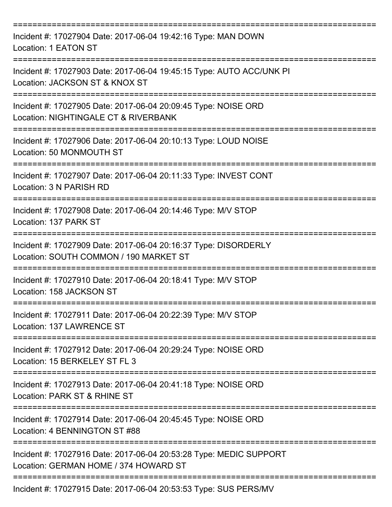| Incident #: 17027904 Date: 2017-06-04 19:42:16 Type: MAN DOWN<br>Location: 1 EATON ST                                                |
|--------------------------------------------------------------------------------------------------------------------------------------|
| Incident #: 17027903 Date: 2017-06-04 19:45:15 Type: AUTO ACC/UNK PI<br>Location: JACKSON ST & KNOX ST                               |
| Incident #: 17027905 Date: 2017-06-04 20:09:45 Type: NOISE ORD<br>Location: NIGHTINGALE CT & RIVERBANK<br>. <u>_____________</u> ___ |
| Incident #: 17027906 Date: 2017-06-04 20:10:13 Type: LOUD NOISE<br>Location: 50 MONMOUTH ST                                          |
| Incident #: 17027907 Date: 2017-06-04 20:11:33 Type: INVEST CONT<br>Location: 3 N PARISH RD                                          |
| Incident #: 17027908 Date: 2017-06-04 20:14:46 Type: M/V STOP<br>Location: 137 PARK ST<br>---------------------                      |
| Incident #: 17027909 Date: 2017-06-04 20:16:37 Type: DISORDERLY<br>Location: SOUTH COMMON / 190 MARKET ST                            |
| Incident #: 17027910 Date: 2017-06-04 20:18:41 Type: M/V STOP<br>Location: 158 JACKSON ST                                            |
| Incident #: 17027911 Date: 2017-06-04 20:22:39 Type: M/V STOP<br>Location: 137 LAWRENCE ST                                           |
| Incident #: 17027912 Date: 2017-06-04 20:29:24 Type: NOISE ORD<br>Location: 15 BERKELEY ST FL 3                                      |
| Incident #: 17027913 Date: 2017-06-04 20:41:18 Type: NOISE ORD<br>Location: PARK ST & RHINE ST                                       |
| Incident #: 17027914 Date: 2017-06-04 20:45:45 Type: NOISE ORD<br>Location: 4 BENNINGTON ST #88                                      |
| Incident #: 17027916 Date: 2017-06-04 20:53:28 Type: MEDIC SUPPORT<br>Location: GERMAN HOME / 374 HOWARD ST                          |
| Incident #: 17027915 Date: 2017-06-04 20:53:53 Type: SUS PERS/MV                                                                     |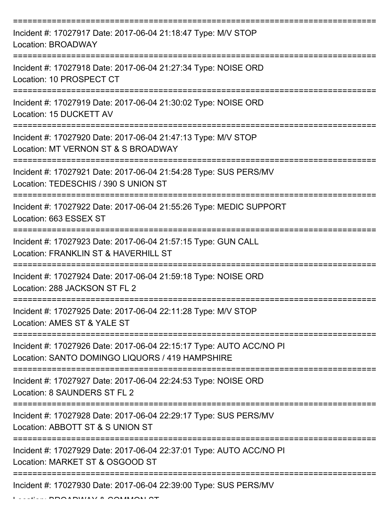| Incident #: 17027917 Date: 2017-06-04 21:18:47 Type: M/V STOP<br><b>Location: BROADWAY</b>                                                |
|-------------------------------------------------------------------------------------------------------------------------------------------|
| Incident #: 17027918 Date: 2017-06-04 21:27:34 Type: NOISE ORD<br>Location: 10 PROSPECT CT                                                |
| Incident #: 17027919 Date: 2017-06-04 21:30:02 Type: NOISE ORD<br>Location: 15 DUCKETT AV                                                 |
| Incident #: 17027920 Date: 2017-06-04 21:47:13 Type: M/V STOP<br>Location: MT VERNON ST & S BROADWAY                                      |
| Incident #: 17027921 Date: 2017-06-04 21:54:28 Type: SUS PERS/MV<br>Location: TEDESCHIS / 390 S UNION ST                                  |
| Incident #: 17027922 Date: 2017-06-04 21:55:26 Type: MEDIC SUPPORT<br>Location: 663 ESSEX ST                                              |
| Incident #: 17027923 Date: 2017-06-04 21:57:15 Type: GUN CALL<br>Location: FRANKLIN ST & HAVERHILL ST                                     |
| Incident #: 17027924 Date: 2017-06-04 21:59:18 Type: NOISE ORD<br>Location: 288 JACKSON ST FL 2                                           |
| Incident #: 17027925 Date: 2017-06-04 22:11:28 Type: M/V STOP<br>Location: AMES ST & YALE ST                                              |
| :==============<br>Incident #: 17027926 Date: 2017-06-04 22:15:17 Type: AUTO ACC/NO PI<br>Location: SANTO DOMINGO LIQUORS / 419 HAMPSHIRE |
| Incident #: 17027927 Date: 2017-06-04 22:24:53 Type: NOISE ORD<br>Location: 8 SAUNDERS ST FL 2                                            |
| Incident #: 17027928 Date: 2017-06-04 22:29:17 Type: SUS PERS/MV<br>Location: ABBOTT ST & S UNION ST                                      |
| Incident #: 17027929 Date: 2017-06-04 22:37:01 Type: AUTO ACC/NO PI<br>Location: MARKET ST & OSGOOD ST                                    |
| Incident #: 17027930 Date: 2017-06-04 22:39:00 Type: SUS PERS/MV                                                                          |